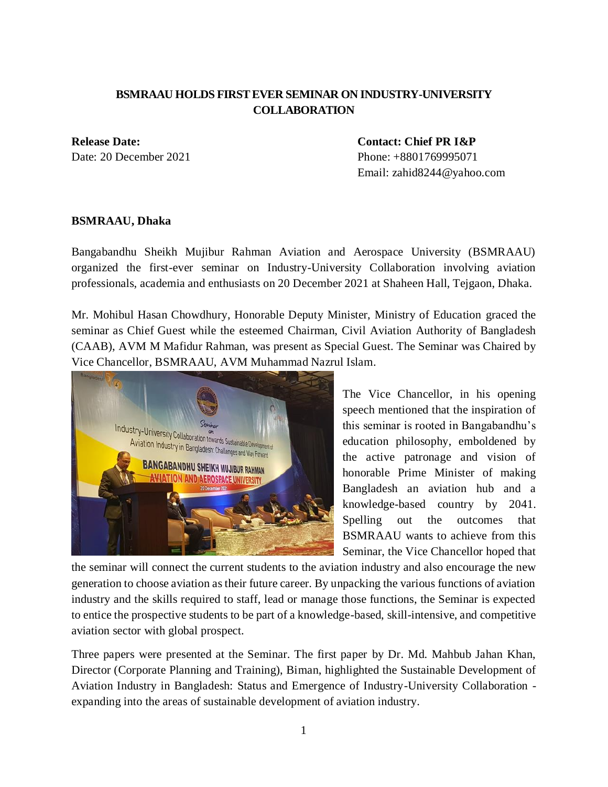## **BSMRAAU HOLDS FIRST EVER SEMINAR ON INDUSTRY-UNIVERSITY COLLABORATION**

**Release Date: Contact: Chief PR I&P** 

Date: 20 December 2021 Phone: +8801769995071 Email: zahid8244@yahoo.com

## **BSMRAAU, Dhaka**

Bangabandhu Sheikh Mujibur Rahman Aviation and Aerospace University (BSMRAAU) organized the first-ever seminar on Industry-University Collaboration involving aviation professionals, academia and enthusiasts on 20 December 2021 at Shaheen Hall, Tejgaon, Dhaka.

Mr. Mohibul Hasan Chowdhury, Honorable Deputy Minister, Ministry of Education graced the seminar as Chief Guest while the esteemed Chairman, Civil Aviation Authority of Bangladesh (CAAB), AVM M Mafidur Rahman, was present as Special Guest. The Seminar was Chaired by Vice Chancellor, BSMRAAU, AVM Muhammad Nazrul Islam.



The Vice Chancellor, in his opening speech mentioned that the inspiration of this seminar is rooted in Bangabandhu's education philosophy, emboldened by the active patronage and vision of honorable Prime Minister of making Bangladesh an aviation hub and a knowledge-based country by 2041. Spelling out the outcomes that BSMRAAU wants to achieve from this Seminar, the Vice Chancellor hoped that

the seminar will connect the current students to the aviation industry and also encourage the new generation to choose aviation as their future career. By unpacking the various functions of aviation industry and the skills required to staff, lead or manage those functions, the Seminar is expected to entice the prospective students to be part of a knowledge-based, skill-intensive, and competitive aviation sector with global prospect.

Three papers were presented at the Seminar. The first paper by Dr. Md. Mahbub Jahan Khan, Director (Corporate Planning and Training), Biman, highlighted the Sustainable Development of Aviation Industry in Bangladesh: Status and Emergence of Industry-University Collaboration expanding into the areas of sustainable development of aviation industry.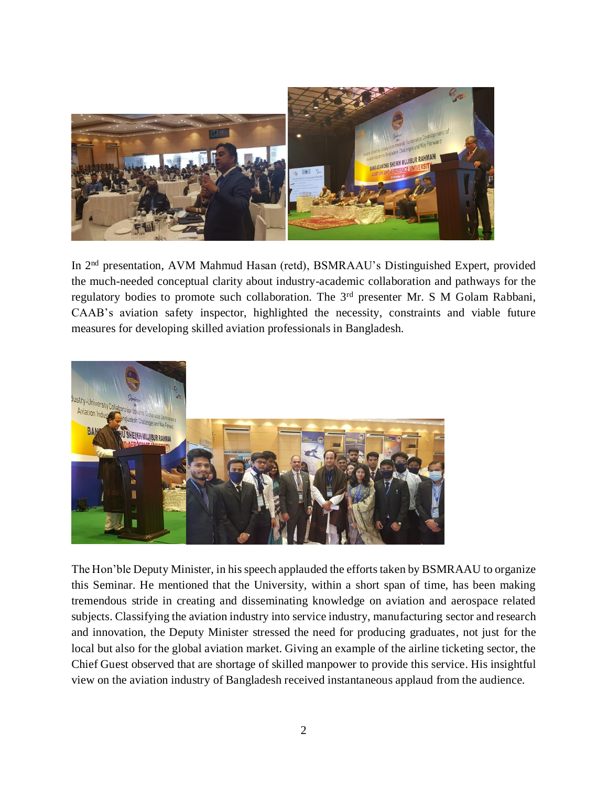

In 2<sup>nd</sup> presentation, AVM Mahmud Hasan (retd), BSMRAAU's Distinguished Expert, provided the much-needed conceptual clarity about industry-academic collaboration and pathways for the regulatory bodies to promote such collaboration. The 3<sup>rd</sup> presenter Mr. S M Golam Rabbani, CAAB's aviation safety inspector, highlighted the necessity, constraints and viable future measures for developing skilled aviation professionals in Bangladesh.



The Hon'ble Deputy Minister, in his speech applauded the efforts taken by BSMRAAU to organize this Seminar. He mentioned that the University, within a short span of time, has been making tremendous stride in creating and disseminating knowledge on aviation and aerospace related subjects. Classifying the aviation industry into service industry, manufacturing sector and research and innovation, the Deputy Minister stressed the need for producing graduates, not just for the local but also for the global aviation market. Giving an example of the airline ticketing sector, the Chief Guest observed that are shortage of skilled manpower to provide this service. His insightful view on the aviation industry of Bangladesh received instantaneous applaud from the audience.